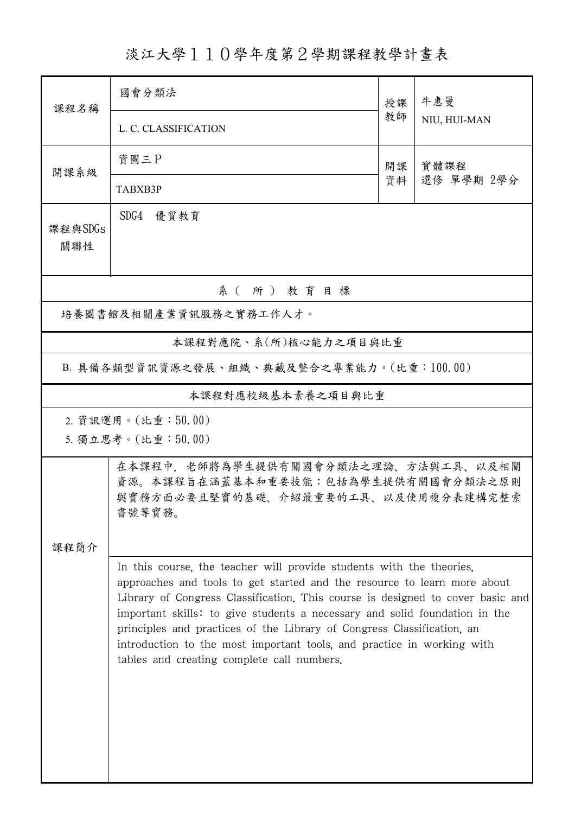淡江大學110學年度第2學期課程教學計畫表

| 課程名稱                                      | 國會分類法                                                                                                                                                                                                                                                                                                                                                                                                                                                                                                              |    |              |  |
|-------------------------------------------|--------------------------------------------------------------------------------------------------------------------------------------------------------------------------------------------------------------------------------------------------------------------------------------------------------------------------------------------------------------------------------------------------------------------------------------------------------------------------------------------------------------------|----|--------------|--|
|                                           |                                                                                                                                                                                                                                                                                                                                                                                                                                                                                                                    | 授課 | 牛惠曼          |  |
|                                           | L. C. CLASSIFICATION                                                                                                                                                                                                                                                                                                                                                                                                                                                                                               | 教師 | NIU, HUI-MAN |  |
| 開課系級                                      | 資圖三P                                                                                                                                                                                                                                                                                                                                                                                                                                                                                                               | 開課 | 實體課程         |  |
|                                           | TABXB3P                                                                                                                                                                                                                                                                                                                                                                                                                                                                                                            | 資料 | 選修 單學期 2學分   |  |
| 課程與SDGs<br>關聯性                            | SDG4 優質教育                                                                                                                                                                                                                                                                                                                                                                                                                                                                                                          |    |              |  |
| 系(所)教育目標                                  |                                                                                                                                                                                                                                                                                                                                                                                                                                                                                                                    |    |              |  |
| 培養圖書館及相關產業資訊服務之實務工作人才。                    |                                                                                                                                                                                                                                                                                                                                                                                                                                                                                                                    |    |              |  |
| 本課程對應院、系(所)核心能力之項目與比重                     |                                                                                                                                                                                                                                                                                                                                                                                                                                                                                                                    |    |              |  |
| B. 具備各類型資訊資源之發展、組織、典藏及整合之專業能力。(比重:100.00) |                                                                                                                                                                                                                                                                                                                                                                                                                                                                                                                    |    |              |  |
| 本課程對應校級基本素養之項目與比重                         |                                                                                                                                                                                                                                                                                                                                                                                                                                                                                                                    |    |              |  |
| 2. 資訊運用。(比重:50.00)                        |                                                                                                                                                                                                                                                                                                                                                                                                                                                                                                                    |    |              |  |
| 5. 獨立思考。(比重:50.00)                        |                                                                                                                                                                                                                                                                                                                                                                                                                                                                                                                    |    |              |  |
| 課程簡介                                      | 在本課程中,老師將為學生提供有關國會分類法之理論、方法與工具、以及相關<br>資源。本課程旨在涵蓋基本和重要技能:包括為學生提供有關國會分類法之原則<br>與實務方面必要且堅實的基礎、介紹最重要的工具、以及使用複分表建構完整索<br>書號等實務。                                                                                                                                                                                                                                                                                                                                                                                        |    |              |  |
|                                           | In this course, the teacher will provide students with the theories.<br>approaches and tools to get started and the resource to learn more about<br>Library of Congress Classification. This course is designed to cover basic and<br>important skills: to give students a necessary and solid foundation in the<br>principles and practices of the Library of Congress Classification, an<br>introduction to the most important tools, and practice in working with<br>tables and creating complete call numbers. |    |              |  |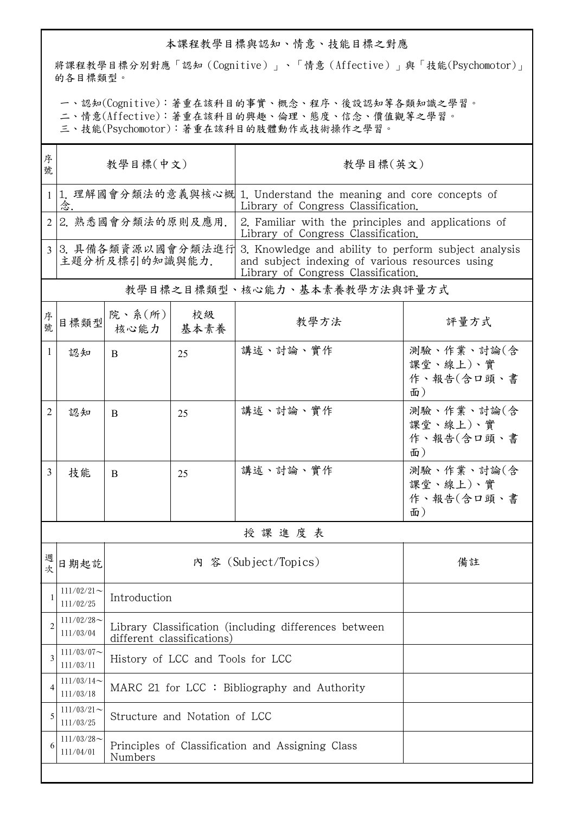## 本課程教學目標與認知、情意、技能目標之對應

將課程教學目標分別對應「認知(Cognitive)」、「情意(Affective)」與「技能(Psychomotor)」 的各目標類型。

一、認知(Cognitive):著重在該科目的事實、概念、程序、後設認知等各類知識之學習。

二、情意(Affective):著重在該科目的興趣、倫理、態度、信念、價值觀等之學習。

三、技能(Psychomotor):著重在該科目的肢體動作或技術操作之學習。

| 序<br>教學目標(中文)<br>號                   |                                                             |      | 教學目標(英文)                                                                                                                                       |                                                                                            |  |  |
|--------------------------------------|-------------------------------------------------------------|------|------------------------------------------------------------------------------------------------------------------------------------------------|--------------------------------------------------------------------------------------------|--|--|
| 念.                                   |                                                             |      | Library of Congress Classification.                                                                                                            |                                                                                            |  |  |
| 2 2. 熟悉國會分類法的原則及應用.                  |                                                             |      | 2. Familiar with the principles and applications of<br>Library of Congress Classification.                                                     |                                                                                            |  |  |
| 3 3.具備各類資源以國會分類法進行<br>主題分析及標引的知識與能力. |                                                             |      | 3. Knowledge and ability to perform subject analysis<br>and subject indexing of various resources using<br>Library of Congress Classification. |                                                                                            |  |  |
| 教學目標之目標類型、核心能力、基本素養教學方法與評量方式         |                                                             |      |                                                                                                                                                |                                                                                            |  |  |
|                                      | 院、系(所)<br>核心能力                                              | 校級   | 教學方法                                                                                                                                           | 評量方式                                                                                       |  |  |
| 認知                                   | B                                                           | 25   | 講述、討論、實作                                                                                                                                       | 測驗、作業、討論(含<br>課堂、線上)、實<br>作、報告(含口頭、書<br>面)                                                 |  |  |
| 認知                                   | B                                                           | 25   | 講述、討論、實作                                                                                                                                       | 測驗、作業、討論(含<br>課堂、線上)、實<br>作、報告(含口頭、書<br>面)                                                 |  |  |
| 技能                                   | B                                                           | 25   | 講述、討論、實作                                                                                                                                       | 測驗、作業、討論(含<br>課堂、線上)、實<br>作、報告(含口頭、書<br>面)                                                 |  |  |
| 授課進度表                                |                                                             |      |                                                                                                                                                |                                                                                            |  |  |
| 日期起訖                                 |                                                             |      |                                                                                                                                                | 備註                                                                                         |  |  |
| $111/02/21$ ~<br>111/02/25           | Introduction                                                |      |                                                                                                                                                |                                                                                            |  |  |
| $111/02/28$ ~<br>111/03/04           | Library Classification (including differences between       |      |                                                                                                                                                |                                                                                            |  |  |
| $111/03/07$ ~<br>111/03/11           | History of LCC and Tools for LCC                            |      |                                                                                                                                                |                                                                                            |  |  |
| $111/03/14$ ~<br>111/03/18           | MARC 21 for LCC : Bibliography and Authority                |      |                                                                                                                                                |                                                                                            |  |  |
| $111/03/21$ ~<br>111/03/25           | Structure and Notation of LCC                               |      |                                                                                                                                                |                                                                                            |  |  |
| $111/03/28$ ~<br>111/04/01           | Principles of Classification and Assigning Class<br>Numbers |      |                                                                                                                                                |                                                                                            |  |  |
|                                      |                                                             | 目標類型 | 基本素養<br>different classifications)                                                                                                             | 1 1. 理解國會分類法的意義與核心概 1. Understand the meaning and core concepts of<br>內 容 (Subject/Topics) |  |  |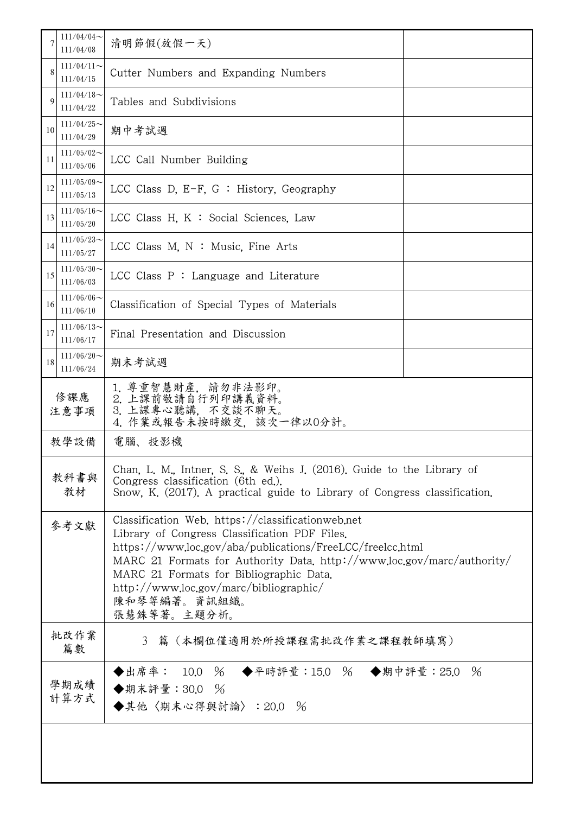|              | $111/04/04$ ~<br>111/04/08                                                                               | 清明節假(放假一天)                                                                                                                                                                                                                                                                                                                                                      |  |  |  |
|--------------|----------------------------------------------------------------------------------------------------------|-----------------------------------------------------------------------------------------------------------------------------------------------------------------------------------------------------------------------------------------------------------------------------------------------------------------------------------------------------------------|--|--|--|
|              | $111/04/11$ ~<br>111/04/15                                                                               | Cutter Numbers and Expanding Numbers                                                                                                                                                                                                                                                                                                                            |  |  |  |
| $\mathbf Q$  | $111/04/18$ ~<br>111/04/22                                                                               | Tables and Subdivisions                                                                                                                                                                                                                                                                                                                                         |  |  |  |
| 10           | $111/04/25$ ~<br>111/04/29                                                                               | 期中考試週                                                                                                                                                                                                                                                                                                                                                           |  |  |  |
| 11           | $111/05/02$ ~<br>111/05/06                                                                               | LCC Call Number Building                                                                                                                                                                                                                                                                                                                                        |  |  |  |
| 12           | $111/05/09$ ~<br>111/05/13                                                                               | LCC Class D. E-F. G : History, Geography                                                                                                                                                                                                                                                                                                                        |  |  |  |
| 13           | $111/05/16$ ~<br>LCC Class H. K : Social Sciences, Law<br>111/05/20                                      |                                                                                                                                                                                                                                                                                                                                                                 |  |  |  |
| 14           | $111/05/23$ ~<br>111/05/27                                                                               | LCC Class M, $N :$ Music, Fine Arts                                                                                                                                                                                                                                                                                                                             |  |  |  |
| 15           | $111/05/30$ ~<br>111/06/03                                                                               | LCC Class $P:$ Language and Literature                                                                                                                                                                                                                                                                                                                          |  |  |  |
| 16           | $111/06/06$ ~<br>111/06/10                                                                               | Classification of Special Types of Materials                                                                                                                                                                                                                                                                                                                    |  |  |  |
| 17           | $111/06/13$ ~<br>111/06/17                                                                               | Final Presentation and Discussion                                                                                                                                                                                                                                                                                                                               |  |  |  |
| 18           | $111/06/20$ ~<br>111/06/24                                                                               | 期末考試週                                                                                                                                                                                                                                                                                                                                                           |  |  |  |
|              | 1. 尊重智慧財產, 請勿非法影印。<br>2. 上課前敬請自行列印講義資料。<br>修課應<br>3. 上課專心聽講, 不交談不聊天。<br>注意事項<br>4. 作業或報告未按時繳交, 該次一律以0分計。 |                                                                                                                                                                                                                                                                                                                                                                 |  |  |  |
|              | 教學設備                                                                                                     | 電腦、投影機                                                                                                                                                                                                                                                                                                                                                          |  |  |  |
|              | 教科書與<br>教材                                                                                               | Chan, L. M., Intner, S. S., & Weihs J. (2016). Guide to the Library of<br>Congress classification (6th ed.).<br>Snow, K. (2017). A practical guide to Library of Congress classification.                                                                                                                                                                       |  |  |  |
|              | 參考文獻                                                                                                     | Classification Web. https://classificationweb.net<br>Library of Congress Classification PDF Files.<br>https://www.loc.gov/aba/publications/FreeLCC/freelcc.html<br>MARC 21 Formats for Authority Data, http://www.loc.gov/marc/authority/<br>MARC 21 Formats for Bibliographic Data.<br>$http://www.loc.gov/marc/bibliographic/$<br>陳和琴等編著。資訊組織。<br>張慧銖等著。主題分析。 |  |  |  |
|              | 批改作業<br>篇數                                                                                               | 篇(本欄位僅適用於所授課程需批改作業之課程教師填寫)<br>3                                                                                                                                                                                                                                                                                                                                 |  |  |  |
| 學期成績<br>計算方式 |                                                                                                          | ◆出席率: 10.0 % ◆平時評量:15.0 % ◆期中評量:25.0 %<br>◆期末評量: 30.0 %<br>◆其他〈期末心得與討論〉:20.0 %                                                                                                                                                                                                                                                                                  |  |  |  |
|              |                                                                                                          |                                                                                                                                                                                                                                                                                                                                                                 |  |  |  |